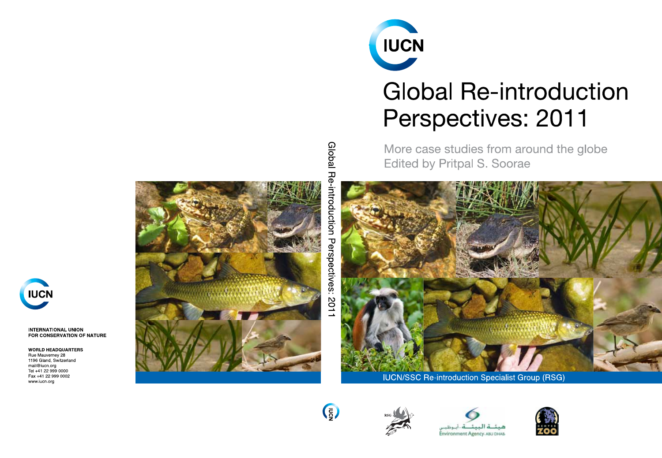

# **Global Re-introduction** Perspectives: 2011

More case studies from around the globe **Edited by Pritpal S. Soorae** 



**IUCN/SSC Re-introduction Specialist Group (RSG)** 





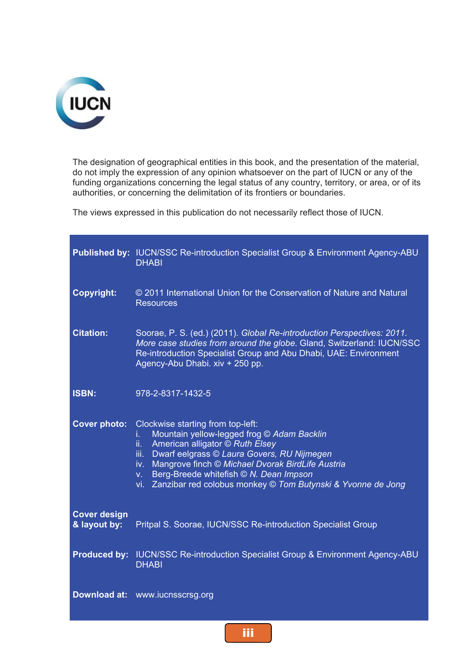

The designation of geographical entities in this book, and the presentation of the material, do not imply the expression of any opinion whatsoever on the part of IUCN or any of the funding organizations concerning the legal status of any country, territory, or area, or of its authorities, or concerning the delimitation of its frontiers or boundaries.

The views expressed in this publication do not necessarily reflect those of IUCN.

|                                     | Published by: IUCN/SSC Re-introduction Specialist Group & Environment Agency-ABU<br><b>DHABI</b>                                                                                                                                                                                                                                                                          |  |
|-------------------------------------|---------------------------------------------------------------------------------------------------------------------------------------------------------------------------------------------------------------------------------------------------------------------------------------------------------------------------------------------------------------------------|--|
| Copyright:                          | © 2011 International Union for the Conservation of Nature and Natural<br><b>Resources</b>                                                                                                                                                                                                                                                                                 |  |
| <b>Citation:</b>                    | Soorae, P. S. (ed.) (2011). Global Re-introduction Perspectives: 2011.<br>More case studies from around the globe. Gland, Switzerland: IUCN/SSC<br>Re-introduction Specialist Group and Abu Dhabi, UAE: Environment<br>Agency-Abu Dhabi. xiv + 250 pp.                                                                                                                    |  |
| <b>ISBN:</b>                        | 978-2-8317-1432-5                                                                                                                                                                                                                                                                                                                                                         |  |
| Cover photo:                        | Clockwise starting from top-left:<br>Mountain yellow-legged frog © Adam Backlin<br>i.<br>American alligator © Ruth Elsey<br>ii.<br>iii. Dwarf eelgrass © Laura Govers, RU Nijmegen<br>iv. Mangrove finch © Michael Dvorak BirdLife Austria<br>Berg-Breede whitefish © N. Dean Impson<br>V <sub>1</sub><br>vi. Zanzibar red colobus monkey © Tom Butynski & Yvonne de Jong |  |
| <b>Cover design</b><br>& layout by: | Pritpal S. Soorae, IUCN/SSC Re-introduction Specialist Group                                                                                                                                                                                                                                                                                                              |  |
| <b>Produced by:</b>                 | <b>IUCN/SSC Re-introduction Specialist Group &amp; Environment Agency-ABU</b><br><b>DHABI</b>                                                                                                                                                                                                                                                                             |  |
|                                     | Download at: www.iucnsscrsg.org                                                                                                                                                                                                                                                                                                                                           |  |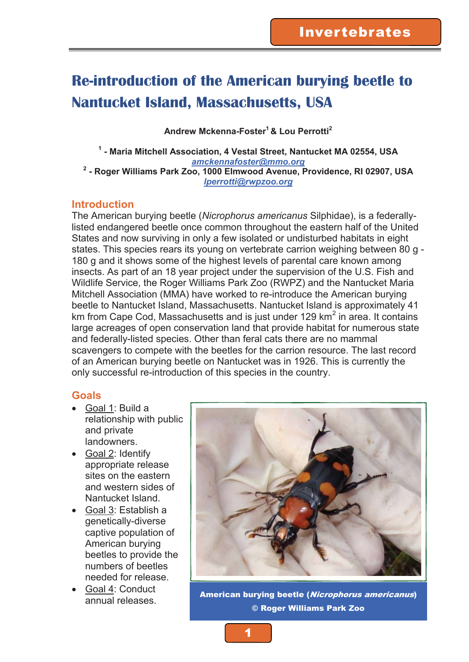# **Re-introduction of the American burying beetle to Nantucket Island, Massachusetts, USA**

**Andrew Mckenna-Foster1 & Lou Perrotti2**

**1 - Maria Mitchell Association, 4 Vestal Street, Nantucket MA 02554, USA**  *amckennafoster@mmo.org* **2 - Roger Williams Park Zoo, 1000 Elmwood Avenue, Providence, RI 02907, USA** 

*lperrotti@rwpzoo.org*

# **Introduction**

The American burying beetle (*Nicrophorus americanus* Silphidae), is a federallylisted endangered beetle once common throughout the eastern half of the United States and now surviving in only a few isolated or undisturbed habitats in eight states. This species rears its young on vertebrate carrion weighing between 80 g - 180 g and it shows some of the highest levels of parental care known among insects. As part of an 18 year project under the supervision of the U.S. Fish and Wildlife Service, the Roger Williams Park Zoo (RWPZ) and the Nantucket Maria Mitchell Association (MMA) have worked to re-introduce the American burying beetle to Nantucket Island, Massachusetts. Nantucket Island is approximately 41 km from Cape Cod, Massachusetts and is just under 129 km<sup>2</sup> in area. It contains large acreages of open conservation land that provide habitat for numerous state and federally-listed species. Other than feral cats there are no mammal scavengers to compete with the beetles for the carrion resource. The last record of an American burying beetle on Nantucket was in 1926. This is currently the only successful re-introduction of this species in the country.

# **Goals**

- x Goal 1: Build a relationship with public and private **landowners**
- Goal 2: Identify appropriate release sites on the eastern and western sides of Nantucket Island.
- x Goal 3: Establish a genetically-diverse captive population of American burying beetles to provide the numbers of beetles needed for release.
- Goal 4: Conduct annual releases.



American burying beetle (Nicrophorus americanus) © Roger Williams Park Zoo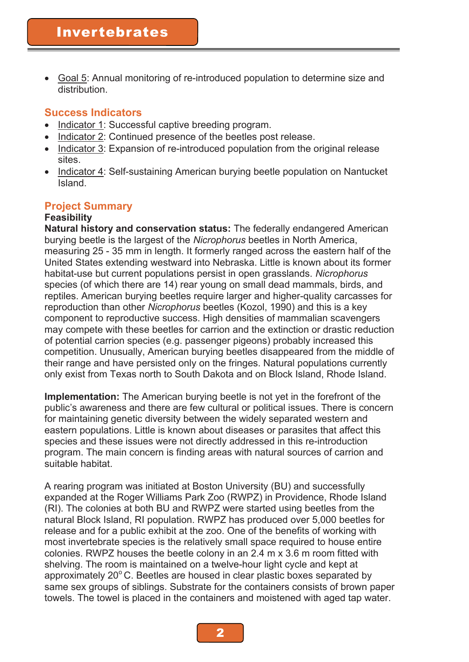• Goal 5: Annual monitoring of re-introduced population to determine size and distribution.

# **Success Indicators**

- Indicator 1: Successful captive breeding program.
- Indicator 2: Continued presence of the beetles post release.
- $\bullet$  Indicator 3: Expansion of re-introduced population from the original release sites.
- Indicator 4: Self-sustaining American burying beetle population on Nantucket Island.

# **Project Summary**

#### **Feasibility**

**Natural history and conservation status:** The federally endangered American burying beetle is the largest of the *Nicrophorus* beetles in North America, measuring 25 - 35 mm in length. It formerly ranged across the eastern half of the United States extending westward into Nebraska. Little is known about its former habitat-use but current populations persist in open grasslands. *Nicrophorus*  species (of which there are 14) rear young on small dead mammals, birds, and reptiles. American burying beetles require larger and higher-quality carcasses for reproduction than other *Nicrophorus* beetles (Kozol, 1990) and this is a key component to reproductive success. High densities of mammalian scavengers may compete with these beetles for carrion and the extinction or drastic reduction of potential carrion species (e.g. passenger pigeons) probably increased this competition. Unusually, American burying beetles disappeared from the middle of their range and have persisted only on the fringes. Natural populations currently only exist from Texas north to South Dakota and on Block Island, Rhode Island.

**Implementation:** The American burying beetle is not yet in the forefront of the public's awareness and there are few cultural or political issues. There is concern for maintaining genetic diversity between the widely separated western and eastern populations. Little is known about diseases or parasites that affect this species and these issues were not directly addressed in this re-introduction program. The main concern is finding areas with natural sources of carrion and suitable habitat.

A rearing program was initiated at Boston University (BU) and successfully expanded at the Roger Williams Park Zoo (RWPZ) in Providence, Rhode Island (RI). The colonies at both BU and RWPZ were started using beetles from the natural Block Island, RI population. RWPZ has produced over 5,000 beetles for release and for a public exhibit at the zoo. One of the benefits of working with most invertebrate species is the relatively small space required to house entire colonies. RWPZ houses the beetle colony in an 2.4 m x 3.6 m room fitted with shelving. The room is maintained on a twelve-hour light cycle and kept at approximately  $20^{\circ}$  C. Beetles are housed in clear plastic boxes separated by same sex groups of siblings. Substrate for the containers consists of brown paper towels. The towel is placed in the containers and moistened with aged tap water.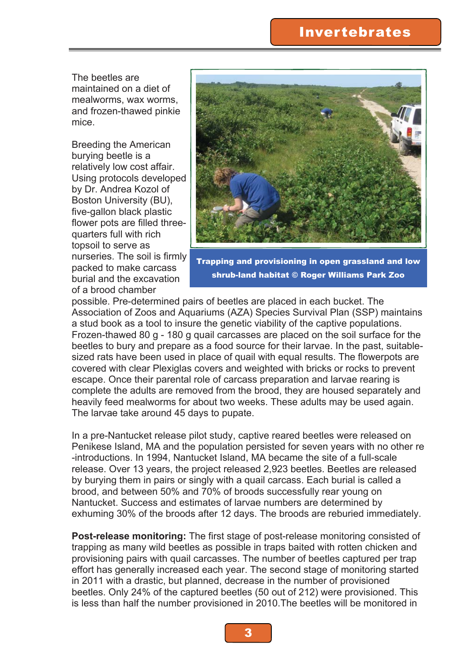# Invertebrates

The beetles are maintained on a diet of mealworms, wax worms, and frozen-thawed pinkie mice.

Breeding the American burying beetle is a relatively low cost affair. Using protocols developed by Dr. Andrea Kozol of Boston University (BU), five-gallon black plastic flower pots are filled threequarters full with rich topsoil to serve as nurseries. The soil is firmly packed to make carcass burial and the excavation of a brood chamber



Trapping and provisioning in open grassland and low shrub-land habitat © Roger Williams Park Zoo

possible. Pre-determined pairs of beetles are placed in each bucket. The Association of Zoos and Aquariums (AZA) Species Survival Plan (SSP) maintains a stud book as a tool to insure the genetic viability of the captive populations. Frozen-thawed 80 g - 180 g quail carcasses are placed on the soil surface for the beetles to bury and prepare as a food source for their larvae. In the past, suitablesized rats have been used in place of quail with equal results. The flowerpots are covered with clear Plexiglas covers and weighted with bricks or rocks to prevent escape. Once their parental role of carcass preparation and larvae rearing is complete the adults are removed from the brood, they are housed separately and heavily feed mealworms for about two weeks. These adults may be used again. The larvae take around 45 days to pupate.

In a pre-Nantucket release pilot study, captive reared beetles were released on Penikese Island, MA and the population persisted for seven years with no other re -introductions. In 1994, Nantucket Island, MA became the site of a full-scale release. Over 13 years, the project released 2,923 beetles. Beetles are released by burying them in pairs or singly with a quail carcass. Each burial is called a brood, and between 50% and 70% of broods successfully rear young on Nantucket. Success and estimates of larvae numbers are determined by exhuming 30% of the broods after 12 days. The broods are reburied immediately.

**Post-release monitoring:** The first stage of post-release monitoring consisted of trapping as many wild beetles as possible in traps baited with rotten chicken and provisioning pairs with quail carcasses. The number of beetles captured per trap effort has generally increased each year. The second stage of monitoring started in 2011 with a drastic, but planned, decrease in the number of provisioned beetles. Only 24% of the captured beetles (50 out of 212) were provisioned. This is less than half the number provisioned in 2010.The beetles will be monitored in